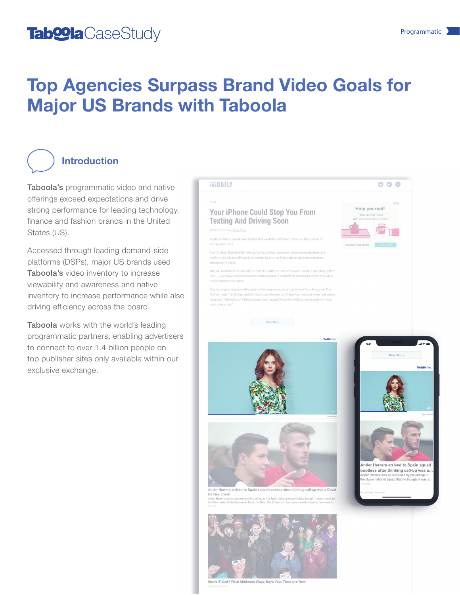## Tab<sup>oo</sup>la CaseStudy and the Case Study of the Case of the Case of the Case of the Case of the Case of the Case of the Case of the Case of the Case of the Case of the Case of the Case of the Case of the Case of the Case of

# Top Agencies Surpass Brand Video Goals for Major US Brands with Taboola

#### Introduction

Taboola's programmatic video and native offerings exceed expectations and drive strong performance for leading technology, finance and fashion brands in the United States (US).

Accessed through leading demand-side platforms (DSPs), major US brands used Taboola's video inventory to increase viewability and awareness and native inventory to increase performance while also driving efficiency across the board.

Taboola works with the world's leading programmatic partners, enabling advertisers to connect to over 1.4 billion people on top publisher sites only available within our exclusive exchange.

#### TECH

**THEDAILY** 

**Your iPhone Could Stop You From Texting And Driving Soon** 

JUNE 15, 2017 by Yuyu Chen

Apple unveiled a new iPhone feature this week that aims to cut down on the ni distracted drivers.

The "Do Not Disturb While Driving" setting will automatically silence in notifications while an iPhone is connected to a car via Bluetooth or cable, the tech giant announced Monday.

DNDWD, which will be available in fall 2017 with the release of Apple's mobile operating syste iOS 11, will allow users to send autotomatic replies to contacts attempting to reach them while they are behind the wheel.

The auto-reply messages will consist of two responses, according to New York Magazine. The first will read: "I'm driving with Do Not Disturb turned on. I'll see your message when I get when "m going," followed by: "If this is urgent, reply 'urgent' to send a notification through with your

**Example 2018**<br>Read More







Herrera arrived to Spain squad bootless thinking call-up was a Da De Gea prank



Ticket? What Minimum Wage Buys You: Then and Now



600

Help yourself

Take care of FAQs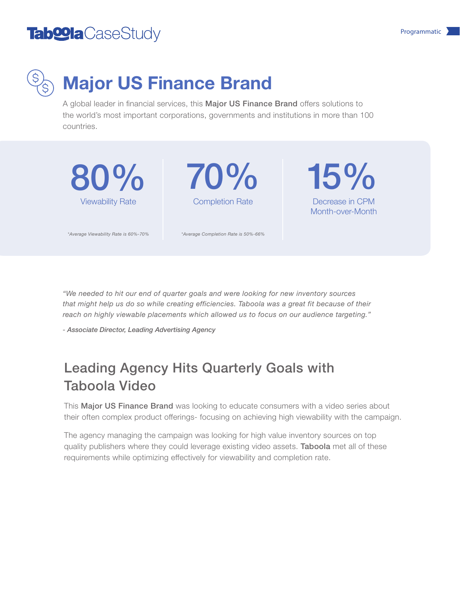## Tab $\bullet$ la CaseStudy Programmatic  $\lambda$



# Major US **F**inance **B**rand

A global leader in financial services, this Major US Finance Brand offers solutions to the world's most important corporations, governments and institutions in more than 100 countries.



*"We needed to hit our end of quarter goals and were looking for new inventory sources that might help us do so while creating efficiencies. Taboola was a great fit because of their reach on highly viewable placements which allowed us to focus on our audience targeting."*

*- Associate Director, Leading Advertising Agency*

### Leading Agency Hits Quarterly Goals with Taboola Video

This Major US Finance Brand was looking to educate consumers with a video series about their often complex product offerings- focusing on achieving high viewability with the campaign.

The agency managing the campaign was looking for high value inventory sources on top quality publishers where they could leverage existing video assets. Taboola met all of these requirements while optimizing effectively for viewability and completion rate.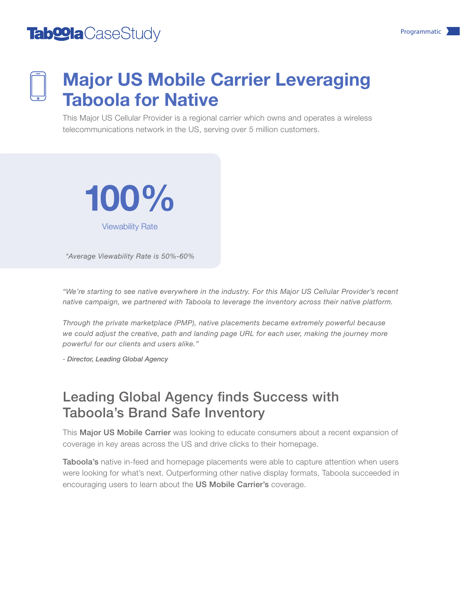## Tab $\bullet$ la CaseStudy Programmatic  $\lambda$



# Major US Mobile Carrier Leveraging Taboola for Native

This Major US Cellular Provider is a regional carrier which owns and operates a wireless telecommunications network in the US, serving over 5 million customers.



*\*Average Viewability Rate is 50%-60%*

*"We're starting to see native everywhere in the industry. For this Major US Cellular Provider's recent native campaign, we partnered with Taboola to leverage the inventory across their native platform.* 

*Through the private marketplace (PMP), native placements became extremely powerful because*  we could adjust the creative, path and landing page URL for each user, making the journey more *powerful for our clients and users alike."* 

*- Director, Leading Global Agency*

#### Leading Global Agency finds Success with Taboola's Brand Safe Inventory

This Major US Mobile Carrier was looking to educate consumers about a recent expansion of coverage in key areas across the US and drive clicks to their homepage.

Taboola's native in-feed and homepage placements were able to capture attention when users were looking for what's next. Outperforming other native display formats, Taboola succeeded in encouraging users to learn about the US Mobile Carrier's coverage.